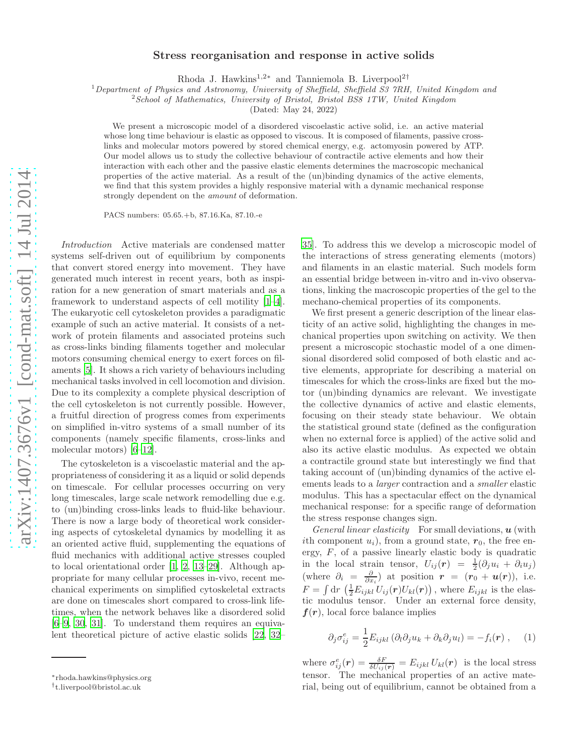## Stress reorganisation and response in active solids

Rhoda J. Hawkins<sup>1,2∗</sup> and Tanniemola B. Liverpool<sup>2†</sup>

 $1$ Department of Physics and Astronomy, University of Sheffield, Sheffield S3 7RH, United Kingdom and

<sup>2</sup> School of Mathematics, University of Bristol, Bristol BS8 1TW, United Kingdom

(Dated: May 24, 2022)

We present a microscopic model of a disordered viscoelastic active solid, i.e. an active material whose long time behaviour is elastic as opposed to viscous. It is composed of filaments, passive crosslinks and molecular motors powered by stored chemical energy, e.g. actomyosin powered by ATP. Our model allows us to study the collective behaviour of contractile active elements and how their interaction with each other and the passive elastic elements determines the macroscopic mechanical properties of the active material. As a result of the (un)binding dynamics of the active elements, we find that this system provides a highly responsive material with a dynamic mechanical response strongly dependent on the amount of deformation.

PACS numbers: 05.65.+b, 87.16.Ka, 87.10.-e

Introduction Active materials are condensed matter systems self-driven out of equilibrium by components that convert stored energy into movement. They have generated much interest in recent years, both as inspiration for a new generation of smart materials and as a framework to understand aspects of cell motility [\[1](#page-3-0)[–4\]](#page-3-1). The eukaryotic cell cytoskeleton provides a paradigmatic example of such an active material. It consists of a network of protein filaments and associated proteins such as cross-links binding filaments together and molecular motors consuming chemical energy to exert forces on filaments [\[5\]](#page-3-2). It shows a rich variety of behaviours including mechanical tasks involved in cell locomotion and division. Due to its complexity a complete physical description of the cell cytoskeleton is not currently possible. However, a fruitful direction of progress comes from experiments on simplified in-vitro systems of a small number of its components (namely specific filaments, cross-links and molecular motors) [\[6](#page-3-3)[–12](#page-4-0)].

The cytoskeleton is a viscoelastic material and the appropriateness of considering it as a liquid or solid depends on timescale. For cellular processes occurring on very long timescales, large scale network remodelling due e.g. to (un)binding cross-links leads to fluid-like behaviour. There is now a large body of theoretical work considering aspects of cytoskeletal dynamics by modelling it as an oriented active fluid, supplementing the equations of fluid mechanics with additional active stresses coupled to local orientational order [\[1,](#page-3-0) [2,](#page-3-4) [13–](#page-4-1)[29\]](#page-4-2). Although appropriate for many cellular processes in-vivo, recent mechanical experiments on simplified cytoskeletal extracts are done on timescales short compared to cross-link lifetimes, when the network behaves like a disordered solid [\[6](#page-3-3)[–9,](#page-3-5) [30,](#page-4-3) [31\]](#page-4-4). To understand them requires an equivalent theoretical picture of active elastic solids [\[22,](#page-4-5) [32](#page-4-6)–

[35](#page-4-7)]. To address this we develop a microscopic model of the interactions of stress generating elements (motors) and filaments in an elastic material. Such models form an essential bridge between in-vitro and in-vivo observations, linking the macroscopic properties of the gel to the mechano-chemical properties of its components.

We first present a generic description of the linear elasticity of an active solid, highlighting the changes in mechanical properties upon switching on activity. We then present a microscopic stochastic model of a one dimensional disordered solid composed of both elastic and active elements, appropriate for describing a material on timescales for which the cross-links are fixed but the motor (un)binding dynamics are relevant. We investigate the collective dynamics of active and elastic elements, focusing on their steady state behaviour. We obtain the statistical ground state (defined as the configuration when no external force is applied) of the active solid and also its active elastic modulus. As expected we obtain a contractile ground state but interestingly we find that taking account of (un)binding dynamics of the active elements leads to a larger contraction and a smaller elastic modulus. This has a spectacular effect on the dynamical mechanical response: for a specific range of deformation the stress response changes sign.

General linear elasticity For small deviations,  $\boldsymbol{u}$  (with ith component  $u_i$ ), from a ground state,  $r_0$ , the free energy,  $F$ , of a passive linearly elastic body is quadratic in the local strain tensor,  $U_{ij}(r) = \frac{1}{2}(\partial_j u_i + \partial_i u_j)$ (where  $\partial_i = \frac{\partial}{\partial x_i}$ ) at position  $\mathbf{r} = (\mathbf{r}_0 + \mathbf{u}(\mathbf{r}))$ , i.e.  $F = \int dr \, \left(\frac{1}{2} E_{ijkl} U_{ij}(\boldsymbol{r}) U_{kl}(\boldsymbol{r})\right)$ , where  $E_{ijkl}$  is the elastic modulus tensor. Under an external force density,  $f(r)$ , local force balance implies

<span id="page-0-0"></span>
$$
\partial_j \sigma_{ij}^e = \frac{1}{2} E_{ijkl} \left( \partial_l \partial_j u_k + \partial_k \partial_j u_l \right) = -f_i(\mathbf{r}) \;, \quad (1)
$$

where  $\sigma_{ij}^e(\mathbf{r}) = \frac{\delta F}{\delta U_{ij}(\mathbf{r})} = E_{ijkl} U_{kl}(\mathbf{r})$  is the local stress tensor. The mechanical properties of an active material, being out of equilibrium, cannot be obtained from a

<sup>∗</sup>rhoda.hawkins@physics.org

<sup>†</sup> t.liverpool@bristol.ac.uk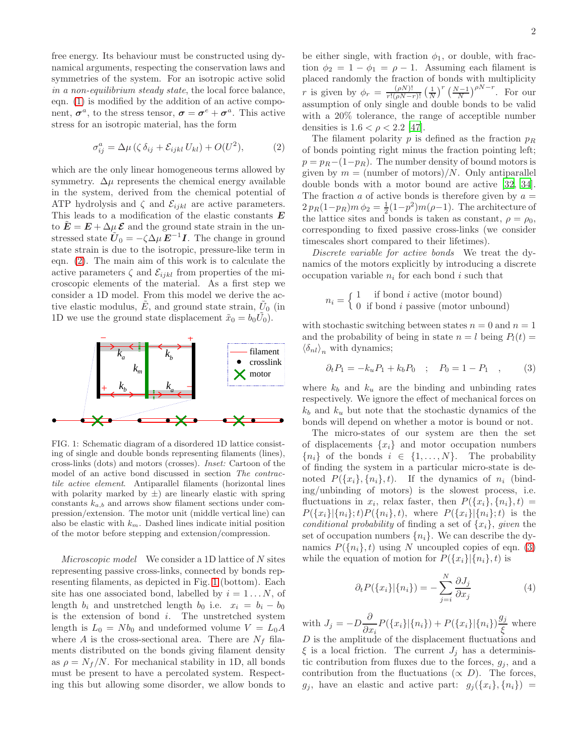free energy. Its behaviour must be constructed using dynamical arguments, respecting the conservation laws and symmetries of the system. For an isotropic active solid in a non-equilibrium steady state, the local force balance, eqn. [\(1\)](#page-0-0) is modified by the addition of an active component,  $\sigma^a$ , to the stress tensor,  $\sigma = \sigma^e + \sigma^a$ . This active stress for an isotropic material, has the form

<span id="page-1-0"></span>
$$
\sigma_{ij}^a = \Delta \mu \left( \zeta \,\delta_{ij} + \mathcal{E}_{ijkl} \, U_{kl} \right) + O(U^2),\tag{2}
$$

which are the only linear homogeneous terms allowed by symmetry.  $\Delta \mu$  represents the chemical energy available in the system, derived from the chemical potential of ATP hydrolysis and  $\zeta$  and  $\mathcal{E}_{ijkl}$  are active parameters. This leads to a modification of the elastic constants  $E$ to  $\mathbf{E} = \mathbf{E} + \Delta \mu \, \mathbf{\mathcal{E}}$  and the ground state strain in the unstressed state  $\tilde{U}_0 = -\zeta \Delta \mu \, \mathbf{E}^{-1} \mathbf{I}$ . The change in ground state strain is due to the isotropic, pressure-like term in eqn. [\(2\)](#page-1-0). The main aim of this work is to calculate the active parameters  $\zeta$  and  $\mathcal{E}_{ijkl}$  from properties of the microscopic elements of the material. As a first step we consider a 1D model. From this model we derive the active elastic modulus,  $\tilde{E}$ , and ground state strain,  $\tilde{U}_0$  (in 1D we use the ground state displacement  $\tilde{x}_0 = b_0 \tilde{U}_0$ .



<span id="page-1-1"></span>FIG. 1: Schematic diagram of a disordered 1D lattice consisting of single and double bonds representing filaments (lines), cross-links (dots) and motors (crosses). Inset: Cartoon of the model of an active bond discussed in section The contractile active element. Antiparallel filaments (horizontal lines with polarity marked by  $\pm$ ) are linearly elastic with spring constants  $k_{a,b}$  and arrows show filament sections under compression/extension. The motor unit (middle vertical line) can also be elastic with  $k_m$ . Dashed lines indicate initial position of the motor before stepping and extension/compression.

Microscopic model We consider a 1D lattice of  $N$  sites representing passive cross-links, connected by bonds representing filaments, as depicted in Fig. [1](#page-1-1) (bottom). Each site has one associated bond, labelled by  $i = 1...N$ , of length  $b_i$  and unstretched length  $b_0$  i.e.  $x_i = b_i - b_0$ is the extension of bond  $i$ . The unstretched system length is  $L_0 = Nb_0$  and undeformed volume  $V = L_0A$ where A is the cross-sectional area. There are  $N_f$  filaments distributed on the bonds giving filament density as  $\rho = N_f/N$ . For mechanical stability in 1D, all bonds must be present to have a percolated system. Respecting this but allowing some disorder, we allow bonds to

be either single, with fraction  $\phi_1$ , or double, with fraction  $\phi_2 = 1 - \phi_1 = \rho - 1$ . Assuming each filament is placed randomly the fraction of bonds with multiplicity r is given by  $\phi_r = \frac{(\rho N)!}{r!(\rho N-r)!} \left(\frac{1}{N}\right)^r \left(\frac{N-1}{N}\right)^{\rho N-r}$ . For our assumption of only single and double bonds to be valid with a 20% tolerance, the range of acceptible number densities is  $1.6 < \rho < 2.2$  [\[47\]](#page-4-8).

The filament polarity  $p$  is defined as the fraction  $p_R$ of bonds pointing right minus the fraction pointing left;  $p = p_R - (1-p_R)$ . The number density of bound motors is given by  $m = \text{(number of motors)} / N$ . Only antiparallel double bonds with a motor bound are active [\[32](#page-4-6), [34\]](#page-4-9). The fraction a of active bonds is therefore given by  $a =$  $2 p_R(1-p_R)m \phi_2 = \frac{1}{2}(1-p^2)m(\rho-1)$ . The architecture of the lattice sites and bonds is taken as constant,  $\rho = \rho_0$ , corresponding to fixed passive cross-links (we consider timescales short compared to their lifetimes).

Discrete variable for active bonds We treat the dynamics of the motors explicitly by introducing a discrete occupation variable  $n_i$  for each bond i such that

> $n_i = \begin{cases} 1 & \text{if bond } i \text{ active (motor bound)} \\ 0 & \text{if bond } i \text{ negative (motor unbaum)} \end{cases}$ 0 if bond i passive (motor unbound)

with stochastic switching between states  $n = 0$  and  $n = 1$ and the probability of being in state  $n = l$  being  $P_l(t) =$  $\langle \delta_{nl} \rangle_n$  with dynamics;

<span id="page-1-2"></span>
$$
\partial_t P_1 = -k_u P_1 + k_b P_0 \quad ; \quad P_0 = 1 - P_1 \quad , \tag{3}
$$

where  $k_b$  and  $k_u$  are the binding and unbinding rates respectively. We ignore the effect of mechanical forces on  $k_b$  and  $k_u$  but note that the stochastic dynamics of the bonds will depend on whether a motor is bound or not.

The micro-states of our system are then the set of displacements  $\{x_i\}$  and motor occupation numbers  ${n_i}$  of the bonds  $i \in \{1, ..., N\}$ . The probability of finding the system in a particular micro-state is denoted  $P({x_i}, {n_i}, t)$ . If the dynamics of  $n_i$  (binding/unbinding of motors) is the slowest process, i.e. fluctuations in  $x_i$ , relax faster, then  $P({x_i}, {n_i}, t) =$  $P({x_i}|\{n_i\};t)P({n_i},t)$ , where  $P({x_i}|\{n_i\};t)$  is the conditional probability of finding a set of  $\{x_i\}$ , given the set of occupation numbers  $\{n_i\}$ . We can describe the dynamics  $P({n_i}, t)$  using N uncoupled copies of eqn. [\(3\)](#page-1-2) while the equation of motion for  $P({x_i}||{n_i}, t)$  is

$$
\partial_t P(\{x_i\}|\{n_i\}) = -\sum_{j=i}^N \frac{\partial J_j}{\partial x_j} \tag{4}
$$

with  $J_j = -D \frac{\partial}{\partial x}$  $\frac{\partial}{\partial x_i} P(\{x_i\}|\{n_i\}) + P(\{x_i\}|\{n_i\}) \frac{g_j}{\xi}$  $\frac{\partial f}{\partial \zeta}$  where  $D$  is the amplitude of the displacement fluctuations and  $\xi$  is a local friction. The current  $J_i$  has a deterministic contribution from fluxes due to the forces,  $g_j$ , and a contribution from the fluctuations  $(\propto D)$ . The forces,  $g_j$ , have an elastic and active part:  $g_j({x_i}, {n_i}) =$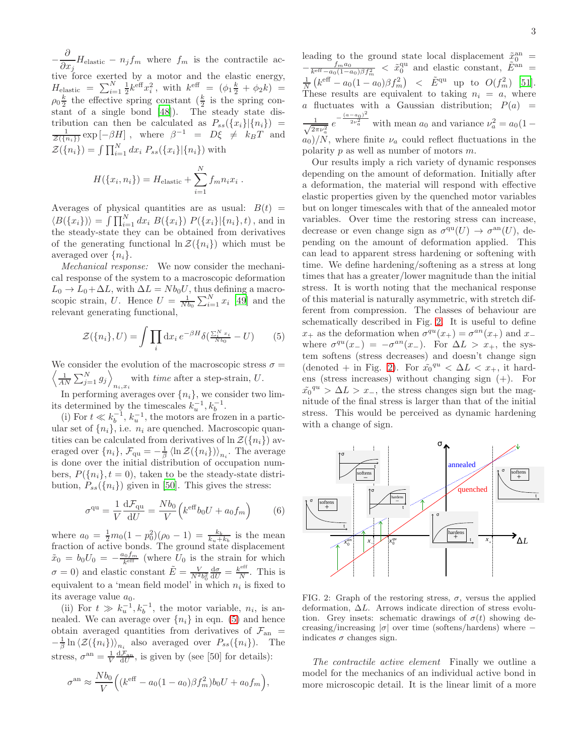− ∂  $\frac{\partial}{\partial x_j} H_{\text{elastic}} - n_j f_m$  where  $f_m$  is the contractile active force exerted by a motor and the elastic energy,  $H_{\text{elastic}} = \sum_{i=1}^{N} \frac{1}{2} k^{\text{eff}} x_i^2$ , with  $k^{\text{eff}} = (\phi_1 \frac{k}{2} + \phi_2 k) =$  $\rho_0 \frac{k}{2}$  the effective spring constant  $(\frac{k}{2})$  is the spring constant of a single bond [\[48\]](#page-4-10)). The steady state distribution can then be calculated as  $P_{ss}(\lbrace x_i \rbrace | \lbrace n_i \rbrace)$  =  $\frac{1}{\mathcal{Z}(\{n_i\})} \exp \left[-\beta H\right]$ , where  $\beta^{-1} = D\xi \neq k_B T$  and  $\mathcal{Z}(\{n_i\}) = \int \prod_{i=1}^{N} dx_i P_{ss}(\{x_i\}|\{n_i\})$  with N

$$
H(\lbrace x_i, n_i \rbrace) = H_{\text{elastic}} + \sum_{i=1}^{N} f_m n_i x_i.
$$

Averages of physical quantities are as usual:  $B(t)$  =  $\langle B({x_i})\rangle = \int \prod_{i=1}^{N} dx_i B({x_i}) P({x_i}|\{n_i\}, t)$ , and in the steady-state they can be obtained from derivatives of the generating functional  $\ln \mathcal{Z}(\{n_i\})$  which must be averaged over  $\{n_i\}$ .

Mechanical response: We now consider the mechanical response of the system to a macroscopic deformation  $L_0 \to L_0 + \Delta L$ , with  $\Delta L = N b_0 U$ , thus defining a macroscopic strain, U. Hence  $U = \frac{1}{Nb_0} \sum_{i=1}^{N} x_i$  [\[49](#page-4-11)] and the relevant generating functional,

$$
\mathcal{Z}(\{n_i\}, U) = \int \prod_i \mathrm{d}x_i \, e^{-\beta H} \delta(\frac{\sum_{i=1}^{N} x_i}{N b_0} - U) \tag{5}
$$

 $\left\langle \frac{1}{AN} \sum_{j=1}^{N} g_j \right\rangle$ We consider the evolution of the macroscopic stress  $\sigma =$ with *time* after a step-strain,  $U$ .

In performing averages over  $\{n_i\}$ , we consider two limits determined by the timescales  $k_u^{-1}, k_b^{-1}$ .

(i) For  $t \ll k_b^{-1}$ ,  $k_u^{-1}$ , the motors are frozen in a particular set of  $\{n_i\}$ , i.e.  $n_i$  are quenched. Macroscopic quantities can be calculated from derivatives of  $\ln \mathcal{Z}(\lbrace n_i \rbrace)$  averaged over  $\{n_i\}$ ,  $\mathcal{F}_{\text{qu}} = -\frac{1}{\beta} \langle \ln \mathcal{Z}(\{n_i\}) \rangle_{n_i}$ . The average is done over the initial distribution of occupation numbers,  $P({n_i}, t = 0)$ , taken to be the steady-state distribution,  $P_{ss}(\lbrace n_i \rbrace)$  given in [\[50](#page-4-12)]. This gives the stress:

$$
\sigma^{\text{qu}} = \frac{1}{V} \frac{\mathrm{d} \mathcal{F}_{\text{qu}}}{\mathrm{d} U} = \frac{N b_0}{V} \left( k^{\text{eff}} b_0 U + a_0 f_m \right) \tag{6}
$$

where  $a_0 = \frac{1}{2}m_0(1-p_0^2)(\rho_0-1) = \frac{k_b}{k_u+k_b}$  is the mean fraction of active bonds. The ground state displacement  $\tilde{x}_0 = b_0 U_0 = -\frac{a_0 f_m}{k^{\text{eff}}}$  (where  $U_0$  is the strain for which  $\sigma = 0$ ) and elastic constant  $\tilde{E} = \frac{V}{N^2 b_0^2}$  $rac{\mathrm{d}\sigma}{\mathrm{d}U}=\frac{k^{\rm eff}}{N}$  $\frac{1}{N}$ . This is equivalent to a 'mean field model' in which  $n_i$  is fixed to its average value  $a_0$ .

(ii) For  $t \gg k_u^{-1}, k_b^{-1}$ , the motor variable,  $n_i$ , is annealed. We can average over  $\{n_i\}$  in eqn. [\(5\)](#page-2-0) and hence obtain averaged quantities from derivatives of  $\mathcal{F}_{an}$  =  $-\frac{1}{\beta}\ln\langle \mathcal{Z}(\lbrace n_i \rbrace) \rangle_{n_i}$  also averaged over  $P_{ss}(\lbrace n_i \rbrace)$ . The stress,  $\sigma^{\rm an} = \frac{1}{V} \frac{d\mathcal{F}_{\rm an}}{dU}$ , is given by (see [50] for details):

$$
\sigma^{\text{an}} \approx \frac{N b_0}{V} \Big( (k^{\text{eff}} - a_0 (1 - a_0) \beta f_m^2) b_0 U + a_0 f_m \Big),
$$

leading to the ground state local displacement  $\tilde{x}_0^{\text{an}} =$  $-\frac{f_m a_0}{k^{\text{eff}} - a_0 (1 - a_0) \beta f_m^2}$  <  $\tilde{x}_0^{\text{qu}}$  and elastic constant,  $\tilde{E}^{\text{an}} =$  $\frac{1}{N}\left(k^{\text{eff}} - a_0(1 - a_0)\beta f_m^2\right)$  <  $\tilde{E}^{\text{qu}}$  up to  $O(f_m^2)$  [\[51\]](#page-4-13). These results are equivalent to taking  $n_i = a$ , where a fluctuates with a Gaussian distribution;  $P(a)$  =  $\frac{1}{\sqrt{2\pi}}$  $\frac{1}{2\pi\nu_a^2} e^{-\frac{(a-a_0)^2}{2\nu_a^2}}$  with mean  $a_0$  and variance  $\nu_a^2 = a_0(1$  $a_0/N$ , where finite  $\nu_a$  could reflect fluctuations in the polarity  $p$  as well as number of motors  $m$ .

Our results imply a rich variety of dynamic responses depending on the amount of deformation. Initially after a deformation, the material will respond with effective elastic properties given by the quenched motor variables but on longer timescales with that of the annealed motor variables. Over time the restoring stress can increase, decrease or even change sign as  $\sigma^{\text{qu}}(U) \to \sigma^{\text{an}}(U)$ , depending on the amount of deformation applied. This can lead to apparent stress hardening or softening with time. We define hardening/softening as a stress at long times that has a greater/lower magnitude than the initial stress. It is worth noting that the mechanical response of this material is naturally asymmetric, with stretch different from compression. The classes of behaviour are schematically described in Fig. [2.](#page-2-1) It is useful to define  $x_+$  as the deformation when  $\sigma^{qu}(x_+) = \sigma^{an}(x_+)$  and  $x_$ where  $\sigma^{qu}(x_{-}) = -\sigma^{an}(x_{-})$ . For  $\Delta L > x_{+}$ , the system softens (stress decreases) and doesn't change sign (denoted + in Fig. [2\)](#page-2-1). For  $\tilde{x_0}^{qu} < \Delta L < x_+$ , it hardens (stress increases) without changing sign (+). For  $\tilde{x_0}^{qu} > \Delta L > x_-,$  the stress changes sign but the magnitude of the final stress is larger than that of the initial stress. This would be perceived as dynamic hardening with a change of sign.

<span id="page-2-0"></span>

<span id="page-2-1"></span>FIG. 2: Graph of the restoring stress,  $\sigma$ , versus the applied deformation, ∆L. Arrows indicate direction of stress evolution. Grey insets: schematic drawings of  $\sigma(t)$  showing decreasing/increasing  $|\sigma|$  over time (softens/hardens) where – indicates  $\sigma$  changes sign.

The contractile active element Finally we outline a model for the mechanics of an individual active bond in more microscopic detail. It is the linear limit of a more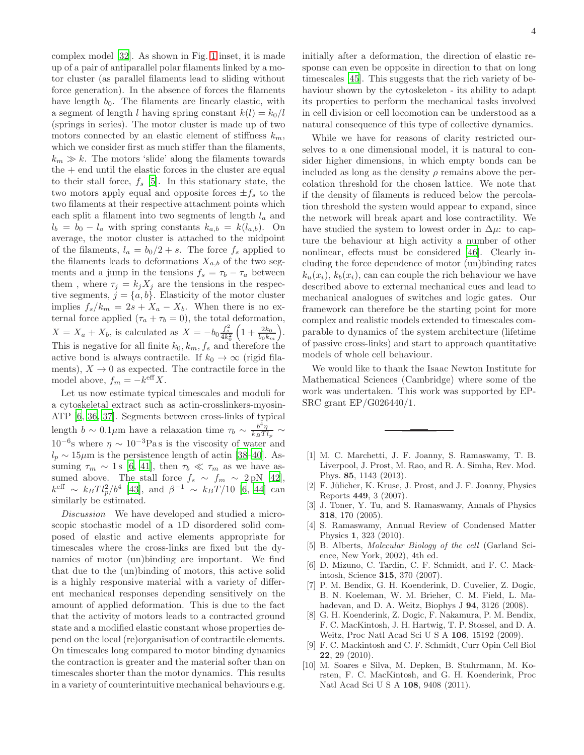complex model [\[32](#page-4-6)]. As shown in Fig. [1](#page-1-1) inset, it is made up of a pair of antiparallel polar filaments linked by a motor cluster (as parallel filaments lead to sliding without force generation). In the absence of forces the filaments have length  $b_0$ . The filaments are linearly elastic, with a segment of length l having spring constant  $k(l) = k_0/l$ (springs in series). The motor cluster is made up of two motors connected by an elastic element of stiffness  $k_m$ , which we consider first as much stiffer than the filaments,  $k_m \gg k$ . The motors 'slide' along the filaments towards  $the + end$  until the elastic forces in the cluster are equal to their stall force,  $f_s$  [\[5\]](#page-3-2). In this stationary state, the two motors apply equal and opposite forces  $\pm f_s$  to the two filaments at their respective attachment points which each split a filament into two segments of length  $l_a$  and  $l_b = b_0 - l_a$  with spring constants  $k_{a,b} = k(l_{a,b})$ . On average, the motor cluster is attached to the midpoint of the filaments,  $l_a = b_0/2 + s$ . The force  $f_s$  applied to the filaments leads to deformations  $X_{a,b}$  of the two segments and a jump in the tensions  $f_s = \tau_b - \tau_a$  between them, where  $\tau_j = k_j X_j$  are the tensions in the respective segments,  $j = \{a, b\}$ . Elasticity of the motor cluster implies  $f_s/k_m = 2s + X_a - X_b$ . When there is no external force applied  $(\tau_a + \tau_b = 0)$ , the total deformation,  $X = X_a + X_b$ , is calculated as  $X = -b_0 \frac{f_s^2}{4k_0^2}$  $\left(1+\frac{2k_0}{b_0k_m}\right)$ . This is negative for all finite  $k_0, k_m, f_s$  and therefore the active bond is always contractile. If  $k_0 \to \infty$  (rigid filaments),  $X \to 0$  as expected. The contractile force in the model above,  $f_m = -k^{\text{eff}} X$ .

Let us now estimate typical timescales and moduli for a cytoskeletal extract such as actin-crosslinkers-myosin-ATP [\[6,](#page-3-3) [36,](#page-4-14) [37\]](#page-4-15). Segments between cross-links of typical length  $b \sim 0.1 \mu$ m have a relaxation time  $\tau_b \sim \frac{b^4 \eta}{k_B T l}$  $\frac{k_B T l_p}{\sim}$  $10^{-6}$ s where  $η \sim 10^{-3}$ Pas is the viscosity of water and  $l_p \sim 15 \mu m$  is the persistence length of actin [\[38](#page-4-16)[–40\]](#page-4-17). Assuming  $\tau_m \sim 1 \text{ s } [6, 41]$  $\tau_m \sim 1 \text{ s } [6, 41]$  $\tau_m \sim 1 \text{ s } [6, 41]$  $\tau_m \sim 1 \text{ s } [6, 41]$  $\tau_m \sim 1 \text{ s } [6, 41]$ , then  $\tau_b \ll \tau_m$  as we have assumed above. The stall force  $f_s \sim f_m \sim 2 \text{ pN}$  [\[42\]](#page-4-19),  $k^{\text{eff}} \sim k_B T l_p^2 / b^4$  [\[43\]](#page-4-20), and  $\beta^{-1} \sim k_B T / 10$  [\[6,](#page-3-3) [44\]](#page-4-21) can similarly be estimated.

Discussion We have developed and studied a microscopic stochastic model of a 1D disordered solid composed of elastic and active elements appropriate for timescales where the cross-links are fixed but the dynamics of motor (un)binding are important. We find that due to the (un)binding of motors, this active solid is a highly responsive material with a variety of different mechanical responses depending sensitively on the amount of applied deformation. This is due to the fact that the activity of motors leads to a contracted ground state and a modified elastic constant whose properties depend on the local (re)organisation of contractile elements. On timescales long compared to motor binding dynamics the contraction is greater and the material softer than on timescales shorter than the motor dynamics. This results in a variety of counterintuitive mechanical behaviours e.g.

initially after a deformation, the direction of elastic response can even be opposite in direction to that on long timescales [\[45\]](#page-4-22). This suggests that the rich variety of behaviour shown by the cytoskeleton - its ability to adapt its properties to perform the mechanical tasks involved in cell division or cell locomotion can be understood as a natural consequence of this type of collective dynamics.

While we have for reasons of clarity restricted ourselves to a one dimensional model, it is natural to consider higher dimensions, in which empty bonds can be included as long as the density  $\rho$  remains above the percolation threshold for the chosen lattice. We note that if the density of filaments is reduced below the percolation threshold the system would appear to expand, since the network will break apart and lose contractility. We have studied the system to lowest order in  $\Delta \mu$ : to capture the behaviour at high activity a number of other nonlinear, effects must be considered [\[46\]](#page-4-23). Clearly including the force dependence of motor (un)binding rates  $k_u(x_i)$ ,  $k_b(x_i)$ , can can couple the rich behaviour we have described above to external mechanical cues and lead to mechanical analogues of switches and logic gates. Our framework can therefore be the starting point for more complex and realistic models extended to timescales comparable to dynamics of the system architecture (lifetime of passive cross-links) and start to approach quantitative models of whole cell behaviour.

We would like to thank the Isaac Newton Institute for Mathematical Sciences (Cambridge) where some of the work was undertaken. This work was supported by EP-SRC grant EP/G026440/1.

- <span id="page-3-0"></span>[1] M. C. Marchetti, J. F. Joanny, S. Ramaswamy, T. B. Liverpool, J. Prost, M. Rao, and R. A. Simha, Rev. Mod. Phys. 85, 1143 (2013).
- <span id="page-3-4"></span>[2] F. Jülicher, K. Kruse, J. Prost, and J. F. Joanny, Physics Reports 449, 3 (2007).
- [3] J. Toner, Y. Tu, and S. Ramaswamy, Annals of Physics 318, 170 (2005).
- <span id="page-3-1"></span>[4] S. Ramaswamy, Annual Review of Condensed Matter Physics 1, 323 (2010).
- <span id="page-3-2"></span>[5] B. Alberts, Molecular Biology of the cell (Garland Science, New York, 2002), 4th ed.
- <span id="page-3-3"></span>[6] D. Mizuno, C. Tardin, C. F. Schmidt, and F. C. Mackintosh, Science 315, 370 (2007).
- [7] P. M. Bendix, G. H. Koenderink, D. Cuvelier, Z. Dogic, B. N. Koeleman, W. M. Brieher, C. M. Field, L. Mahadevan, and D. A. Weitz, Biophys J 94, 3126 (2008).
- [8] G. H. Koenderink, Z. Dogic, F. Nakamura, P. M. Bendix, F. C. MacKintosh, J. H. Hartwig, T. P. Stossel, and D. A. Weitz, Proc Natl Acad Sci U S A 106, 15192 (2009).
- <span id="page-3-5"></span>[9] F. C. Mackintosh and C. F. Schmidt, Curr Opin Cell Biol 22, 29 (2010).
- [10] M. Soares e Silva, M. Depken, B. Stuhrmann, M. Korsten, F. C. MacKintosh, and G. H. Koenderink, Proc Natl Acad Sci U S A 108, 9408 (2011).